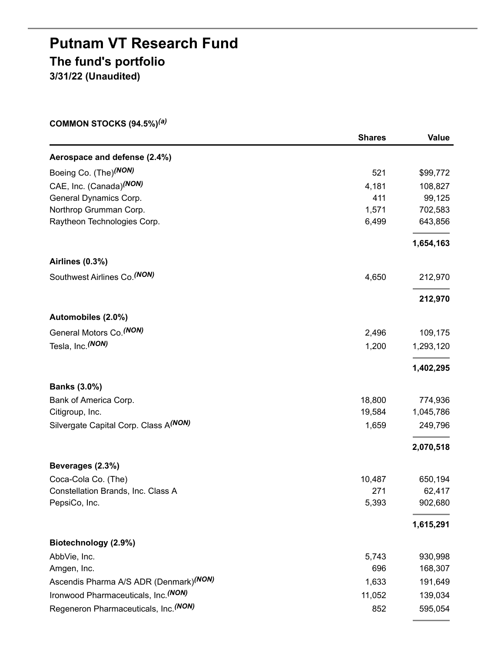# **Putnam VT Research Fund The fund's portfolio 3/31/22 (Unaudited)**

**COMMON STOCKS (94.5%)** *(a)*

|                                                    | <b>Shares</b> | <b>Value</b> |
|----------------------------------------------------|---------------|--------------|
| Aerospace and defense (2.4%)                       |               |              |
| Boeing Co. (The) <sup>(NON)</sup>                  | 521           | \$99,772     |
| CAE, Inc. (Canada) <sup>(NON)</sup>                | 4,181         | 108,827      |
| General Dynamics Corp.                             | 411           | 99,125       |
| Northrop Grumman Corp.                             | 1,571         | 702,583      |
| Raytheon Technologies Corp.                        | 6,499         | 643,856      |
|                                                    |               | 1,654,163    |
| Airlines (0.3%)                                    |               |              |
| Southwest Airlines Co. (NON)                       | 4,650         | 212,970      |
|                                                    |               | 212,970      |
| Automobiles (2.0%)                                 |               |              |
| General Motors Co. <sup>(NON)</sup>                | 2,496         | 109,175      |
| Tesla, Inc. (NON)                                  | 1,200         | 1,293,120    |
|                                                    |               | 1,402,295    |
| <b>Banks (3.0%)</b>                                |               |              |
| Bank of America Corp.                              | 18,800        | 774,936      |
| Citigroup, Inc.                                    | 19,584        | 1,045,786    |
| Silvergate Capital Corp. Class A(NON)              | 1,659         | 249,796      |
|                                                    |               | 2,070,518    |
| Beverages (2.3%)                                   |               |              |
| Coca-Cola Co. (The)                                | 10,487        | 650,194      |
| Constellation Brands, Inc. Class A                 | 271           | 62,417       |
| PepsiCo, Inc.                                      | 5,393         | 902,680      |
|                                                    |               | 1,615,291    |
| Biotechnology (2.9%)                               |               |              |
| AbbVie, Inc.                                       | 5,743         | 930,998      |
| Amgen, Inc.                                        | 696           | 168,307      |
| Ascendis Pharma A/S ADR (Denmark) <sup>(NON)</sup> | 1,633         | 191,649      |
| Ironwood Pharmaceuticals, Inc. (NON)               | 11,052        | 139,034      |
| Regeneron Pharmaceuticals, Inc. (NON)              | 852           | 595,054      |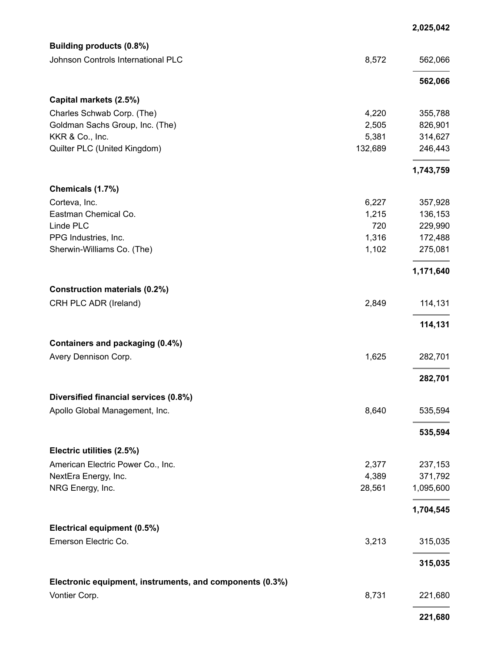|                                                          |         | 2,025,042 |
|----------------------------------------------------------|---------|-----------|
| Building products (0.8%)                                 |         |           |
| Johnson Controls International PLC                       | 8,572   | 562,066   |
|                                                          |         | 562,066   |
| Capital markets (2.5%)                                   |         |           |
| Charles Schwab Corp. (The)                               | 4,220   | 355,788   |
| Goldman Sachs Group, Inc. (The)                          | 2,505   | 826,901   |
| KKR & Co., Inc.                                          | 5,381   | 314,627   |
| Quilter PLC (United Kingdom)                             | 132,689 | 246,443   |
|                                                          |         | 1,743,759 |
| Chemicals (1.7%)                                         |         |           |
| Corteva, Inc.                                            | 6,227   | 357,928   |
| Eastman Chemical Co.                                     | 1,215   | 136,153   |
| Linde PLC                                                | 720     | 229,990   |
| PPG Industries, Inc.                                     | 1,316   | 172,488   |
| Sherwin-Williams Co. (The)                               | 1,102   | 275,081   |
|                                                          |         | 1,171,640 |
| <b>Construction materials (0.2%)</b>                     |         |           |
| CRH PLC ADR (Ireland)                                    | 2,849   | 114,131   |
|                                                          |         | 114,131   |
| Containers and packaging (0.4%)                          |         |           |
| Avery Dennison Corp.                                     | 1,625   | 282,701   |
|                                                          |         | 282,701   |
| Diversified financial services (0.8%)                    |         |           |
| Apollo Global Management, Inc.                           | 8,640   | 535,594   |
|                                                          |         | 535,594   |
| Electric utilities (2.5%)                                |         |           |
| American Electric Power Co., Inc.                        | 2,377   | 237,153   |
| NextEra Energy, Inc.                                     | 4,389   | 371,792   |
| NRG Energy, Inc.                                         | 28,561  | 1,095,600 |
|                                                          |         | 1,704,545 |
| Electrical equipment (0.5%)                              |         |           |
| Emerson Electric Co.                                     | 3,213   | 315,035   |
|                                                          |         | 315,035   |
| Electronic equipment, instruments, and components (0.3%) |         |           |
| Vontier Corp.                                            | 8,731   | 221,680   |
|                                                          |         | 221,680   |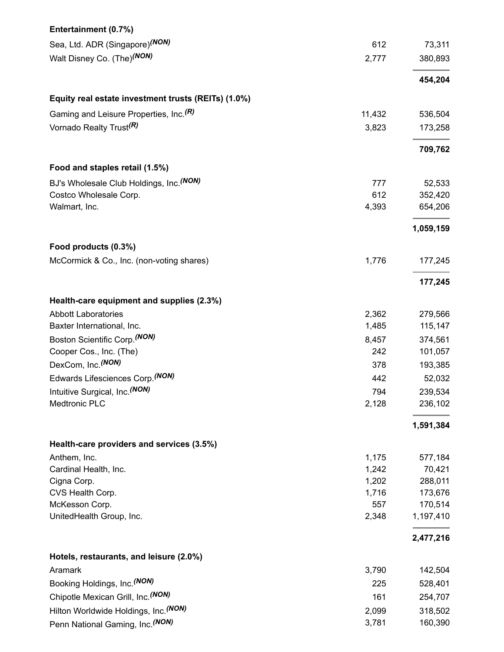| Entertainment (0.7%)                                |                |                    |
|-----------------------------------------------------|----------------|--------------------|
| Sea, Ltd. ADR (Singapore) <sup>(NON)</sup>          | 612            | 73,311             |
| Walt Disney Co. (The) <sup>(NON)</sup>              | 2,777          | 380,893            |
|                                                     |                | 454,204            |
| Equity real estate investment trusts (REITs) (1.0%) |                |                    |
| Gaming and Leisure Properties, Inc. <sup>(R)</sup>  | 11,432         | 536,504            |
| Vornado Realty Trust <sup>(R)</sup>                 | 3,823          | 173,258            |
|                                                     |                | 709,762            |
| Food and staples retail (1.5%)                      |                |                    |
| BJ's Wholesale Club Holdings, Inc. (NON)            | 777            | 52,533             |
| Costco Wholesale Corp.                              | 612            | 352,420            |
| Walmart, Inc.                                       | 4,393          | 654,206            |
|                                                     |                | 1,059,159          |
| Food products (0.3%)                                |                |                    |
| McCormick & Co., Inc. (non-voting shares)           | 1,776          | 177,245            |
|                                                     |                | 177,245            |
| Health-care equipment and supplies (2.3%)           |                |                    |
| <b>Abbott Laboratories</b>                          | 2,362          | 279,566            |
| Baxter International, Inc.                          | 1,485          | 115,147            |
| Boston Scientific Corp. <sup>(NON)</sup>            | 8,457          | 374,561            |
| Cooper Cos., Inc. (The)                             | 242            | 101,057            |
| DexCom, Inc. (NON)                                  | 378            | 193,385            |
| Edwards Lifesciences Corp. (NON)                    | 442            | 52,032             |
| Intuitive Surgical, Inc. (NON)                      | 794            | 239,534            |
| Medtronic PLC                                       | 2,128          | 236,102            |
|                                                     |                | 1,591,384          |
| Health-care providers and services (3.5%)           |                |                    |
| Anthem, Inc.                                        | 1,175          | 577,184            |
| Cardinal Health, Inc.                               | 1,242          | 70,421             |
| Cigna Corp.<br>CVS Health Corp.                     | 1,202<br>1,716 | 288,011<br>173,676 |
| McKesson Corp.                                      | 557            | 170,514            |
| UnitedHealth Group, Inc.                            | 2,348          | 1,197,410          |
|                                                     |                | 2,477,216          |
| Hotels, restaurants, and leisure (2.0%)             |                |                    |
| Aramark                                             | 3,790          | 142,504            |
| Booking Holdings, Inc. (NON)                        | 225            | 528,401            |
| Chipotle Mexican Grill, Inc. (NON)                  | 161            | 254,707            |
| Hilton Worldwide Holdings, Inc. (NON)               | 2,099          | 318,502            |
| Penn National Gaming, Inc. (NON)                    | 3,781          | 160,390            |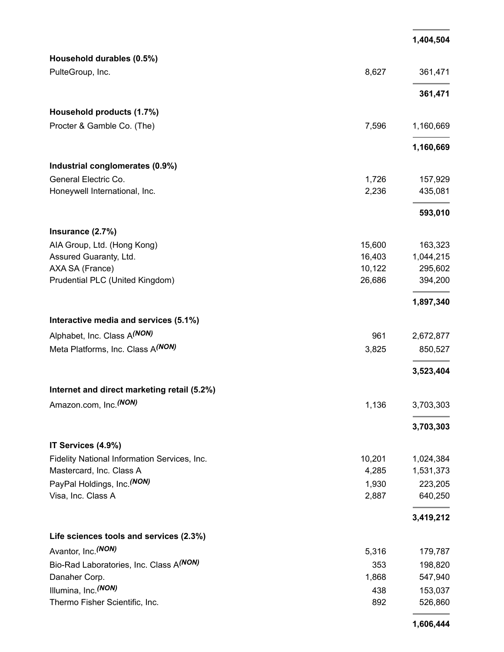|                                               |        | 1,404,504 |
|-----------------------------------------------|--------|-----------|
| Household durables (0.5%)                     |        |           |
| PulteGroup, Inc.                              | 8,627  | 361,471   |
|                                               |        | 361,471   |
| Household products (1.7%)                     |        |           |
| Procter & Gamble Co. (The)                    | 7,596  | 1,160,669 |
|                                               |        | 1,160,669 |
| Industrial conglomerates (0.9%)               |        |           |
| General Electric Co.                          | 1,726  | 157,929   |
| Honeywell International, Inc.                 | 2,236  | 435,081   |
|                                               |        | 593,010   |
| Insurance (2.7%)                              |        |           |
| AIA Group, Ltd. (Hong Kong)                   | 15,600 | 163,323   |
| Assured Guaranty, Ltd.                        | 16,403 | 1,044,215 |
| AXA SA (France)                               | 10,122 | 295,602   |
| Prudential PLC (United Kingdom)               | 26,686 | 394,200   |
|                                               |        | 1,897,340 |
| Interactive media and services (5.1%)         |        |           |
| Alphabet, Inc. Class A(NON)                   | 961    | 2,672,877 |
| Meta Platforms, Inc. Class A <sup>(NON)</sup> | 3,825  | 850,527   |
|                                               |        | 3,523,404 |
| Internet and direct marketing retail (5.2%)   |        |           |
| Amazon.com, Inc. <sup>(NON)</sup>             | 1,136  | 3,703,303 |
|                                               |        | 3,703,303 |
| IT Services (4.9%)                            |        |           |
| Fidelity National Information Services, Inc.  | 10,201 | 1,024,384 |
| Mastercard, Inc. Class A                      | 4,285  | 1,531,373 |
| PayPal Holdings, Inc. (NON)                   | 1,930  | 223,205   |
| Visa, Inc. Class A                            | 2,887  | 640,250   |
|                                               |        | 3,419,212 |
| Life sciences tools and services (2.3%)       |        |           |
| Avantor, Inc. <sup>(NON)</sup>                | 5,316  | 179,787   |
| Bio-Rad Laboratories, Inc. Class A(NON)       | 353    | 198,820   |
| Danaher Corp.                                 | 1,868  | 547,940   |
| Illumina, Inc. (NON)                          | 438    | 153,037   |
| Thermo Fisher Scientific, Inc.                | 892    | 526,860   |
|                                               |        |           |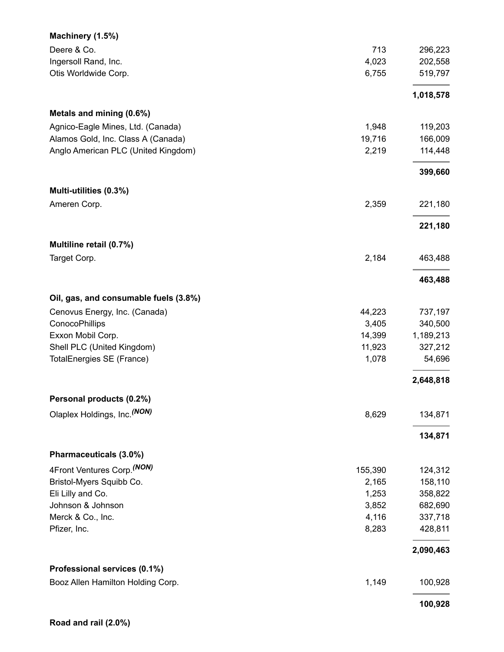| Machinery (1.5%)                      |         |           |
|---------------------------------------|---------|-----------|
| Deere & Co.                           | 713     | 296,223   |
| Ingersoll Rand, Inc.                  | 4,023   | 202,558   |
| Otis Worldwide Corp.                  | 6,755   | 519,797   |
|                                       |         | 1,018,578 |
| Metals and mining (0.6%)              |         |           |
| Agnico-Eagle Mines, Ltd. (Canada)     | 1,948   | 119,203   |
| Alamos Gold, Inc. Class A (Canada)    | 19,716  | 166,009   |
| Anglo American PLC (United Kingdom)   | 2,219   | 114,448   |
|                                       |         | 399,660   |
| Multi-utilities (0.3%)                |         |           |
| Ameren Corp.                          | 2,359   | 221,180   |
|                                       |         | 221,180   |
| Multiline retail (0.7%)               |         |           |
| Target Corp.                          | 2,184   | 463,488   |
|                                       |         | 463,488   |
| Oil, gas, and consumable fuels (3.8%) |         |           |
| Cenovus Energy, Inc. (Canada)         | 44,223  | 737,197   |
| ConocoPhillips                        | 3,405   | 340,500   |
| Exxon Mobil Corp.                     | 14,399  | 1,189,213 |
| Shell PLC (United Kingdom)            | 11,923  | 327,212   |
| TotalEnergies SE (France)             | 1,078   | 54,696    |
|                                       |         | 2,648,818 |
| Personal products (0.2%)              |         |           |
| Olaplex Holdings, Inc. (NON)          | 8,629   | 134,871   |
|                                       |         | 134,871   |
| Pharmaceuticals (3.0%)                |         |           |
| 4Front Ventures Corp. (NON)           | 155,390 | 124,312   |
| Bristol-Myers Squibb Co.              | 2,165   | 158,110   |
| Eli Lilly and Co.                     | 1,253   | 358,822   |
| Johnson & Johnson                     | 3,852   | 682,690   |
| Merck & Co., Inc.                     | 4,116   | 337,718   |
| Pfizer, Inc.                          | 8,283   | 428,811   |
|                                       |         | 2,090,463 |
| Professional services (0.1%)          | 1,149   |           |
| Booz Allen Hamilton Holding Corp.     |         | 100,928   |
|                                       |         | 100,928   |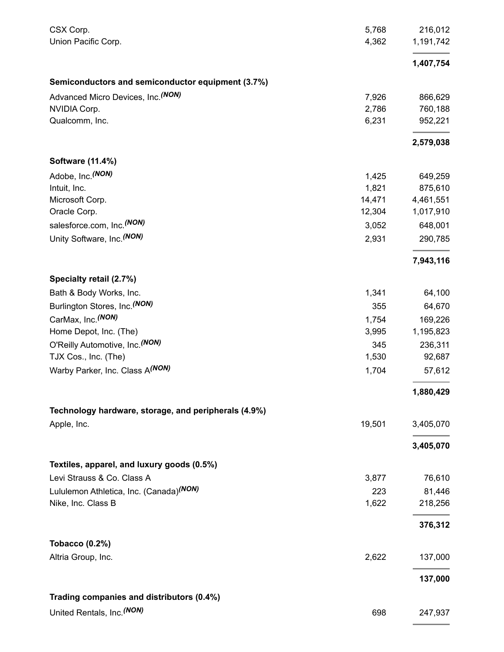| CSX Corp.                                            | 5,768  | 216,012   |
|------------------------------------------------------|--------|-----------|
| Union Pacific Corp.                                  | 4,362  | 1,191,742 |
|                                                      |        | 1,407,754 |
| Semiconductors and semiconductor equipment (3.7%)    |        |           |
| Advanced Micro Devices, Inc. (NON)                   | 7,926  | 866,629   |
| NVIDIA Corp.                                         | 2,786  | 760,188   |
| Qualcomm, Inc.                                       | 6,231  | 952,221   |
|                                                      |        | 2,579,038 |
| Software (11.4%)                                     |        |           |
| Adobe, Inc. (NON)                                    | 1,425  | 649,259   |
| Intuit, Inc.                                         | 1,821  | 875,610   |
| Microsoft Corp.                                      | 14,471 | 4,461,551 |
| Oracle Corp.                                         | 12,304 | 1,017,910 |
| salesforce.com, Inc. <sup>(NON)</sup>                | 3,052  | 648,001   |
| Unity Software, Inc. (NON)                           | 2,931  | 290,785   |
|                                                      |        | 7,943,116 |
| Specialty retail (2.7%)                              |        |           |
| Bath & Body Works, Inc.                              | 1,341  | 64,100    |
| Burlington Stores, Inc. <sup>(NON)</sup>             | 355    | 64,670    |
| CarMax, Inc. (NON)                                   | 1,754  | 169,226   |
| Home Depot, Inc. (The)                               | 3,995  | 1,195,823 |
| O'Reilly Automotive, Inc. (NON)                      | 345    | 236,311   |
| TJX Cos., Inc. (The)                                 | 1,530  | 92,687    |
| Warby Parker, Inc. Class A(NON)                      | 1,704  | 57,612    |
|                                                      |        | 1,880,429 |
| Technology hardware, storage, and peripherals (4.9%) |        |           |
| Apple, Inc.                                          | 19,501 | 3,405,070 |
|                                                      |        | 3,405,070 |
| Textiles, apparel, and luxury goods (0.5%)           |        |           |
| Levi Strauss & Co. Class A                           | 3,877  | 76,610    |
| Lululemon Athletica, Inc. (Canada) <sup>(NON)</sup>  | 223    | 81,446    |
| Nike, Inc. Class B                                   | 1,622  | 218,256   |
|                                                      |        | 376,312   |
| <b>Tobacco (0.2%)</b>                                |        |           |
| Altria Group, Inc.                                   | 2,622  | 137,000   |
|                                                      |        | 137,000   |
| Trading companies and distributors (0.4%)            |        |           |
| United Rentals, Inc. (NON)                           | 698    | 247,937   |
|                                                      |        |           |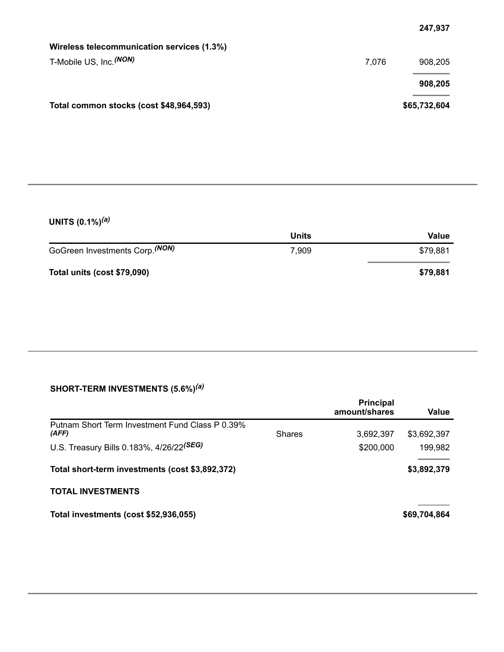| Wireless telecommunication services (1.3%) |       |              |
|--------------------------------------------|-------|--------------|
| T-Mobile US, Inc. <sup>(NON)</sup>         | 7.076 | 908,205      |
|                                            |       | 908,205      |
| Total common stocks (cost \$48,964,593)    |       | \$65,732,604 |

### **UNITS (0.1%)** *(a)*

|                                            | <b>Units</b> | Value    |
|--------------------------------------------|--------------|----------|
| GoGreen Investments Corp. <sup>(NON)</sup> | 7,909        | \$79,881 |
| Total units (cost \$79,090)                |              | \$79,881 |

#### **SHORT-TERM INVESTMENTS (5.6%)** *(a)*

|                                                          | <b>Principal</b><br>amount/shares | Value        |
|----------------------------------------------------------|-----------------------------------|--------------|
| Putnam Short Term Investment Fund Class P 0.39%<br>(AFF) | 3,692,397<br><b>Shares</b>        | \$3,692,397  |
| U.S. Treasury Bills 0.183%, 4/26/22 <sup>(SEG)</sup>     | \$200,000                         | 199,982      |
| Total short-term investments (cost \$3,892,372)          |                                   | \$3,892,379  |
| <b>TOTAL INVESTMENTS</b>                                 |                                   |              |
| Total investments (cost \$52,936,055)                    |                                   | \$69,704,864 |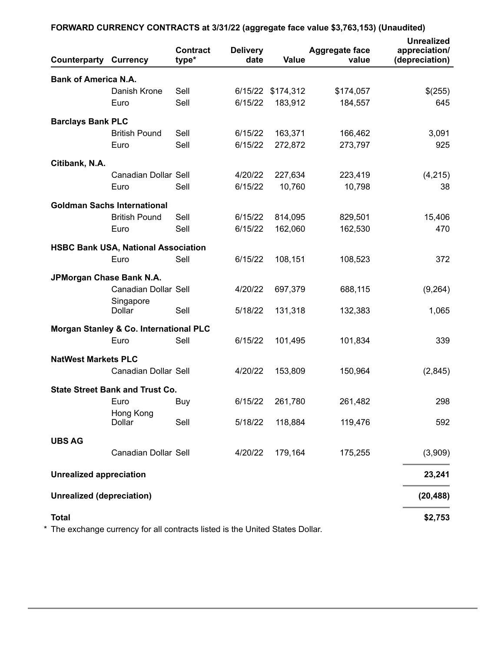| <b>Counterparty Currency</b>     |                                            | <b>Contract</b><br>type* | <b>Delivery</b><br>date | Value     | <b>Aggregate face</b><br>value | <b>Unrealized</b><br>appreciation/<br>(depreciation) |
|----------------------------------|--------------------------------------------|--------------------------|-------------------------|-----------|--------------------------------|------------------------------------------------------|
| <b>Bank of America N.A.</b>      |                                            |                          |                         |           |                                |                                                      |
|                                  | Danish Krone                               | Sell                     | 6/15/22                 | \$174,312 | \$174,057                      | \$(255)                                              |
|                                  | Euro                                       | Sell                     | 6/15/22                 | 183,912   | 184,557                        | 645                                                  |
| <b>Barclays Bank PLC</b>         |                                            |                          |                         |           |                                |                                                      |
|                                  | <b>British Pound</b>                       | Sell                     | 6/15/22                 | 163,371   | 166,462                        | 3,091                                                |
|                                  | Euro                                       | Sell                     | 6/15/22                 | 272,872   | 273,797                        | 925                                                  |
| Citibank, N.A.                   |                                            |                          |                         |           |                                |                                                      |
|                                  | Canadian Dollar Sell                       |                          | 4/20/22                 | 227,634   | 223,419                        | (4,215)                                              |
|                                  | Euro                                       | Sell                     | 6/15/22                 | 10,760    | 10,798                         | 38                                                   |
|                                  | <b>Goldman Sachs International</b>         |                          |                         |           |                                |                                                      |
|                                  | <b>British Pound</b>                       | Sell                     | 6/15/22                 | 814,095   | 829,501                        | 15,406                                               |
|                                  | Euro                                       | Sell                     | 6/15/22                 | 162,060   | 162,530                        | 470                                                  |
|                                  | <b>HSBC Bank USA, National Association</b> |                          |                         |           |                                |                                                      |
|                                  | Euro                                       | Sell                     | 6/15/22                 | 108,151   | 108,523                        | 372                                                  |
| JPMorgan Chase Bank N.A.         |                                            |                          |                         |           |                                |                                                      |
|                                  | Canadian Dollar Sell                       |                          | 4/20/22                 | 697,379   | 688,115                        | (9,264)                                              |
|                                  | Singapore<br>Dollar                        | Sell                     | 5/18/22                 | 131,318   | 132,383                        | 1,065                                                |
|                                  | Morgan Stanley & Co. International PLC     |                          |                         |           |                                |                                                      |
|                                  | Euro                                       | Sell                     | 6/15/22                 | 101,495   | 101,834                        | 339                                                  |
| <b>NatWest Markets PLC</b>       |                                            |                          |                         |           |                                |                                                      |
|                                  | Canadian Dollar Sell                       |                          | 4/20/22                 | 153,809   | 150,964                        | (2,845)                                              |
|                                  | <b>State Street Bank and Trust Co.</b>     |                          |                         |           |                                |                                                      |
|                                  | Euro                                       | Buy                      | 6/15/22                 | 261,780   | 261,482                        | 298                                                  |
|                                  | Hong Kong                                  |                          |                         |           |                                |                                                      |
|                                  | Dollar                                     | Sell                     | 5/18/22                 | 118,884   | 119,476                        | 592                                                  |
| <b>UBS AG</b>                    |                                            |                          |                         |           |                                |                                                      |
|                                  | Canadian Dollar Sell                       |                          | 4/20/22                 | 179,164   | 175,255                        | (3,909)                                              |
| <b>Unrealized appreciation</b>   |                                            |                          |                         |           |                                | 23,241                                               |
| <b>Unrealized (depreciation)</b> |                                            |                          |                         |           |                                | (20, 488)                                            |
| <b>Total</b>                     |                                            |                          |                         |           |                                | \$2,753                                              |

### **FORWARD CURRENCY CONTRACTS at 3/31/22 (aggregate face value \$3,763,153) (Unaudited)**

\* The exchange currency for all contracts listed is the United States Dollar.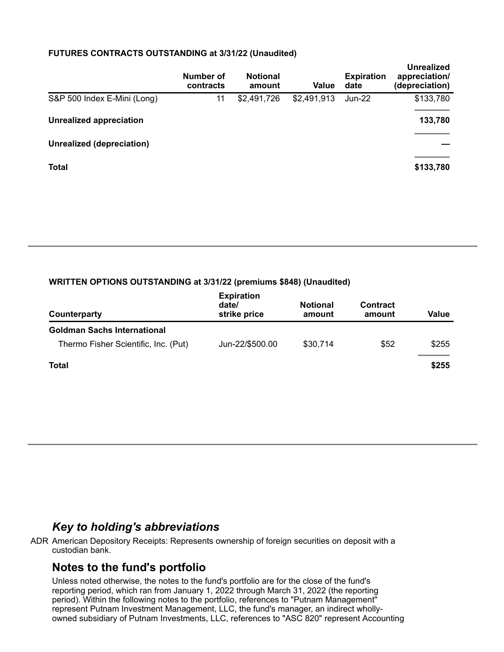#### **FUTURES CONTRACTS OUTSTANDING at 3/31/22 (Unaudited)**

|                                  | Number of<br>contracts | <b>Notional</b><br>amount | Value       | <b>Expiration</b><br>date | <b>Unrealized</b><br>appreciation/<br>(depreciation) |
|----------------------------------|------------------------|---------------------------|-------------|---------------------------|------------------------------------------------------|
| S&P 500 Index E-Mini (Long)      | 11                     | \$2,491,726               | \$2,491,913 | Jun-22                    | \$133,780                                            |
| <b>Unrealized appreciation</b>   |                        |                           |             |                           | 133,780                                              |
| <b>Unrealized (depreciation)</b> |                        |                           |             |                           |                                                      |
| <b>Total</b>                     |                        |                           |             |                           | \$133,780                                            |

#### **WRITTEN OPTIONS OUTSTANDING at 3/31/22 (premiums \$848) (Unaudited)**

| Counterparty                         | <b>Expiration</b><br>date/<br>strike price | <b>Notional</b><br>amount | <b>Contract</b><br>amount | Value |
|--------------------------------------|--------------------------------------------|---------------------------|---------------------------|-------|
| <b>Goldman Sachs International</b>   |                                            |                           |                           |       |
| Thermo Fisher Scientific, Inc. (Put) | Jun-22/\$500.00                            | \$30,714                  | \$52                      | \$255 |
| Total                                |                                            |                           |                           | \$255 |

## *Key to holding's abbreviations*

ADR American Depository Receipts: Represents ownership of foreign securities on deposit with a custodian bank.

## **Notes to the fund's portfolio**

Unless noted otherwise, the notes to the fund's portfolio are for the close of the fund's reporting period, which ran from January 1, 2022 through March 31, 2022 (the reporting period). Within the following notes to the portfolio, references to "Putnam Management" represent Putnam Investment Management, LLC, the fund's manager, an indirect whollyowned subsidiary of Putnam Investments, LLC, references to "ASC 820" represent Accounting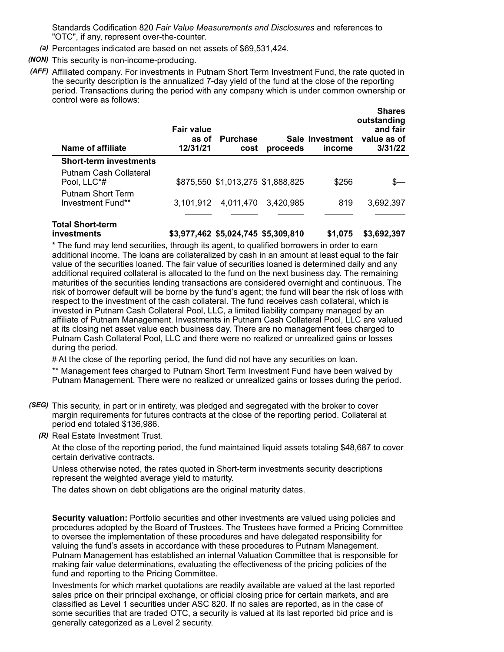Standards Codification 820 *Fair Value Measurements and Disclosures* and references to "OTC", if any, represent over-the-counter.

- *(a)* Percentages indicated are based on net assets of \$69,531,424.
- *(NON)* This security is non-income-producing.
- *(AFF)* Affiliated company. For investments in Putnam Short Term Investment Fund, the rate quoted in the security description is the annualized 7-day yield of the fund at the close of the reporting period. Transactions during the period with any company which is under common ownership or control were as follows:

| <b>Name of affiliate</b>               | Fair value<br>as of<br>12/31/21 | <b>Purchase</b><br>cost           | proceeds  | Sale Investment<br>income | <b>Shares</b><br>outstanding<br>and fair<br>value as of<br>3/31/22 |
|----------------------------------------|---------------------------------|-----------------------------------|-----------|---------------------------|--------------------------------------------------------------------|
| <b>Short-term investments</b>          |                                 |                                   |           |                           |                                                                    |
| Putnam Cash Collateral<br>Pool, LLC*#  |                                 | \$875,550 \$1,013,275 \$1,888,825 |           | \$256                     |                                                                    |
| Putnam Short Term<br>Investment Fund** | 3.101.912                       | 4,011,470                         | 3.420.985 | 819                       | 3,692,397                                                          |
|                                        |                                 |                                   |           |                           |                                                                    |

## **Total Short-term**

**investments \$3,977,462 \$5,024,745 \$5,309,810 \$1,075 \$3,692,397**

\* The fund may lend securities, through its agent, to qualified borrowers in order to earn additional income. The loans are collateralized by cash in an amount at least equal to the fair value of the securities loaned. The fair value of securities loaned is determined daily and any additional required collateral is allocated to the fund on the next business day. The remaining maturities of the securities lending transactions are considered overnight and continuous. The risk of borrower default will be borne by the fund's agent; the fund will bear the risk of loss with respect to the investment of the cash collateral. The fund receives cash collateral, which is invested in Putnam Cash Collateral Pool, LLC, a limited liability company managed by an affiliate of Putnam Management. Investments in Putnam Cash Collateral Pool, LLC are valued at its closing net asset value each business day. There are no management fees charged to Putnam Cash Collateral Pool, LLC and there were no realized or unrealized gains or losses during the period.

# At the close of the reporting period, the fund did not have any securities on loan.

\*\* Management fees charged to Putnam Short Term Investment Fund have been waived by Putnam Management. There were no realized or unrealized gains or losses during the period.

- *(SEG)* This security, in part or in entirety, was pledged and segregated with the broker to cover margin requirements for futures contracts at the close of the reporting period. Collateral at period end totaled \$136,986.
	- *(R)* Real Estate Investment Trust.

At the close of the reporting period, the fund maintained liquid assets totaling \$48,687 to cover certain derivative contracts.

Unless otherwise noted, the rates quoted in Short-term investments security descriptions represent the weighted average yield to maturity.

The dates shown on debt obligations are the original maturity dates.

**Security valuation:** Portfolio securities and other investments are valued using policies and procedures adopted by the Board of Trustees. The Trustees have formed a Pricing Committee to oversee the implementation of these procedures and have delegated responsibility for valuing the fund's assets in accordance with these procedures to Putnam Management. Putnam Management has established an internal Valuation Committee that is responsible for making fair value determinations, evaluating the effectiveness of the pricing policies of the fund and reporting to the Pricing Committee.

Investments for which market quotations are readily available are valued at the last reported sales price on their principal exchange, or official closing price for certain markets, and are classified as Level 1 securities under ASC 820. If no sales are reported, as in the case of some securities that are traded OTC, a security is valued at its last reported bid price and is generally categorized as a Level 2 security.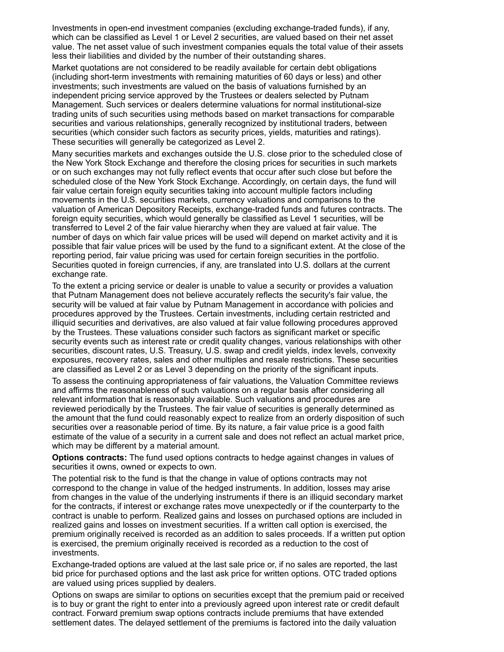Investments in open-end investment companies (excluding exchange-traded funds), if any, which can be classified as Level 1 or Level 2 securities, are valued based on their net asset value. The net asset value of such investment companies equals the total value of their assets less their liabilities and divided by the number of their outstanding shares.

Market quotations are not considered to be readily available for certain debt obligations (including short-term investments with remaining maturities of 60 days or less) and other investments; such investments are valued on the basis of valuations furnished by an independent pricing service approved by the Trustees or dealers selected by Putnam Management. Such services or dealers determine valuations for normal institutional-size trading units of such securities using methods based on market transactions for comparable securities and various relationships, generally recognized by institutional traders, between securities (which consider such factors as security prices, yields, maturities and ratings). These securities will generally be categorized as Level 2.

Many securities markets and exchanges outside the U.S. close prior to the scheduled close of the New York Stock Exchange and therefore the closing prices for securities in such markets or on such exchanges may not fully reflect events that occur after such close but before the scheduled close of the New York Stock Exchange. Accordingly, on certain days, the fund will fair value certain foreign equity securities taking into account multiple factors including movements in the U.S. securities markets, currency valuations and comparisons to the valuation of American Depository Receipts, exchange-traded funds and futures contracts. The foreign equity securities, which would generally be classified as Level 1 securities, will be transferred to Level 2 of the fair value hierarchy when they are valued at fair value. The number of days on which fair value prices will be used will depend on market activity and it is possible that fair value prices will be used by the fund to a significant extent. At the close of the reporting period, fair value pricing was used for certain foreign securities in the portfolio. Securities quoted in foreign currencies, if any, are translated into U.S. dollars at the current exchange rate.

To the extent a pricing service or dealer is unable to value a security or provides a valuation that Putnam Management does not believe accurately reflects the security's fair value, the security will be valued at fair value by Putnam Management in accordance with policies and procedures approved by the Trustees. Certain investments, including certain restricted and illiquid securities and derivatives, are also valued at fair value following procedures approved by the Trustees. These valuations consider such factors as significant market or specific security events such as interest rate or credit quality changes, various relationships with other securities, discount rates, U.S. Treasury, U.S. swap and credit yields, index levels, convexity exposures, recovery rates, sales and other multiples and resale restrictions. These securities are classified as Level 2 or as Level 3 depending on the priority of the significant inputs.

To assess the continuing appropriateness of fair valuations, the Valuation Committee reviews and affirms the reasonableness of such valuations on a regular basis after considering all relevant information that is reasonably available. Such valuations and procedures are reviewed periodically by the Trustees. The fair value of securities is generally determined as the amount that the fund could reasonably expect to realize from an orderly disposition of such securities over a reasonable period of time. By its nature, a fair value price is a good faith estimate of the value of a security in a current sale and does not reflect an actual market price, which may be different by a material amount.

**Options contracts:** The fund used options contracts to hedge against changes in values of securities it owns, owned or expects to own.

The potential risk to the fund is that the change in value of options contracts may not correspond to the change in value of the hedged instruments. In addition, losses may arise from changes in the value of the underlying instruments if there is an illiquid secondary market for the contracts, if interest or exchange rates move unexpectedly or if the counterparty to the contract is unable to perform. Realized gains and losses on purchased options are included in realized gains and losses on investment securities. If a written call option is exercised, the premium originally received is recorded as an addition to sales proceeds. If a written put option is exercised, the premium originally received is recorded as a reduction to the cost of investments.

Exchange-traded options are valued at the last sale price or, if no sales are reported, the last bid price for purchased options and the last ask price for written options. OTC traded options are valued using prices supplied by dealers.

Options on swaps are similar to options on securities except that the premium paid or received is to buy or grant the right to enter into a previously agreed upon interest rate or credit default contract. Forward premium swap options contracts include premiums that have extended settlement dates. The delayed settlement of the premiums is factored into the daily valuation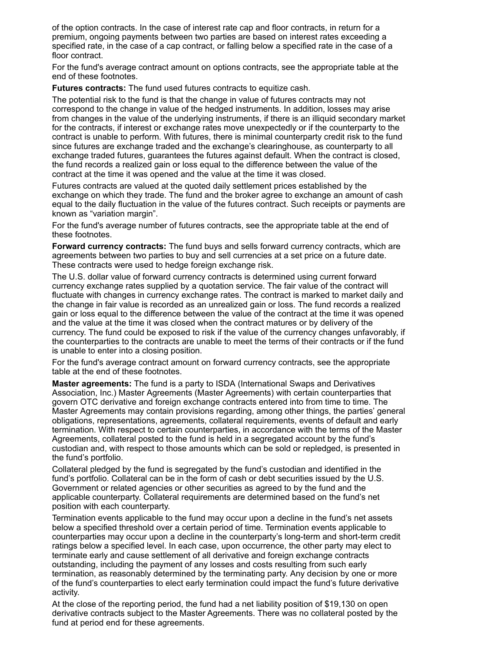of the option contracts. In the case of interest rate cap and floor contracts, in return for a premium, ongoing payments between two parties are based on interest rates exceeding a specified rate, in the case of a cap contract, or falling below a specified rate in the case of a floor contract.

For the fund's average contract amount on options contracts, see the appropriate table at the end of these footnotes.

**Futures contracts:** The fund used futures contracts to equitize cash.

The potential risk to the fund is that the change in value of futures contracts may not correspond to the change in value of the hedged instruments. In addition, losses may arise from changes in the value of the underlying instruments, if there is an illiquid secondary market for the contracts, if interest or exchange rates move unexpectedly or if the counterparty to the contract is unable to perform. With futures, there is minimal counterparty credit risk to the fund since futures are exchange traded and the exchange's clearinghouse, as counterparty to all exchange traded futures, guarantees the futures against default. When the contract is closed, the fund records a realized gain or loss equal to the difference between the value of the contract at the time it was opened and the value at the time it was closed.

Futures contracts are valued at the quoted daily settlement prices established by the exchange on which they trade. The fund and the broker agree to exchange an amount of cash equal to the daily fluctuation in the value of the futures contract. Such receipts or payments are known as "variation margin".

For the fund's average number of futures contracts, see the appropriate table at the end of these footnotes.

**Forward currency contracts:** The fund buys and sells forward currency contracts, which are agreements between two parties to buy and sell currencies at a set price on a future date. These contracts were used to hedge foreign exchange risk.

The U.S. dollar value of forward currency contracts is determined using current forward currency exchange rates supplied by a quotation service. The fair value of the contract will fluctuate with changes in currency exchange rates. The contract is marked to market daily and the change in fair value is recorded as an unrealized gain or loss. The fund records a realized gain or loss equal to the difference between the value of the contract at the time it was opened and the value at the time it was closed when the contract matures or by delivery of the currency. The fund could be exposed to risk if the value of the currency changes unfavorably, if the counterparties to the contracts are unable to meet the terms of their contracts or if the fund is unable to enter into a closing position.

For the fund's average contract amount on forward currency contracts, see the appropriate table at the end of these footnotes.

**Master agreements:** The fund is a party to ISDA (International Swaps and Derivatives Association, Inc.) Master Agreements (Master Agreements) with certain counterparties that govern OTC derivative and foreign exchange contracts entered into from time to time. The Master Agreements may contain provisions regarding, among other things, the parties' general obligations, representations, agreements, collateral requirements, events of default and early termination. With respect to certain counterparties, in accordance with the terms of the Master Agreements, collateral posted to the fund is held in a segregated account by the fund's custodian and, with respect to those amounts which can be sold or repledged, is presented in the fund's portfolio.

Collateral pledged by the fund is segregated by the fund's custodian and identified in the fund's portfolio. Collateral can be in the form of cash or debt securities issued by the U.S. Government or related agencies or other securities as agreed to by the fund and the applicable counterparty. Collateral requirements are determined based on the fund's net position with each counterparty.

Termination events applicable to the fund may occur upon a decline in the fund's net assets below a specified threshold over a certain period of time. Termination events applicable to counterparties may occur upon a decline in the counterparty's long-term and short-term credit ratings below a specified level. In each case, upon occurrence, the other party may elect to terminate early and cause settlement of all derivative and foreign exchange contracts outstanding, including the payment of any losses and costs resulting from such early termination, as reasonably determined by the terminating party. Any decision by one or more of the fund's counterparties to elect early termination could impact the fund's future derivative activity.

At the close of the reporting period, the fund had a net liability position of \$19,130 on open derivative contracts subject to the Master Agreements. There was no collateral posted by the fund at period end for these agreements.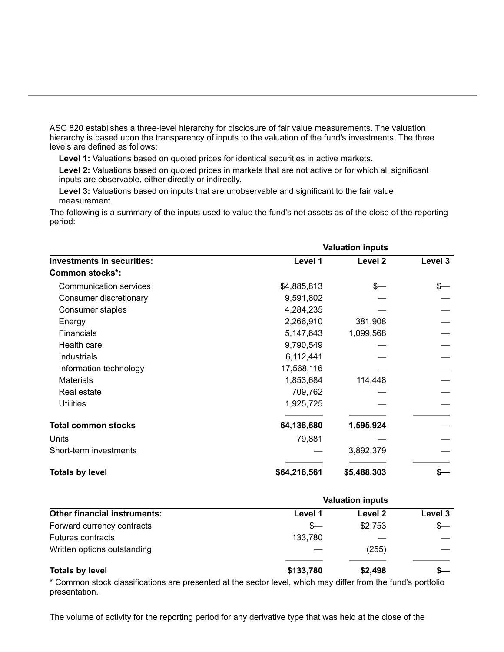ASC 820 establishes a three-level hierarchy for disclosure of fair value measurements. The valuation hierarchy is based upon the transparency of inputs to the valuation of the fund's investments. The three levels are defined as follows:

**Level 1:** Valuations based on quoted prices for identical securities in active markets.

**Level 2:** Valuations based on quoted prices in markets that are not active or for which all significant inputs are observable, either directly or indirectly.

**Level 3:** Valuations based on inputs that are unobservable and significant to the fair value measurement.

The following is a summary of the inputs used to value the fund's net assets as of the close of the reporting period:

|                                   | <b>Valuation inputs</b> |             |         |  |
|-----------------------------------|-------------------------|-------------|---------|--|
| <b>Investments in securities:</b> | Level 1                 | Level 2     | Level 3 |  |
| <b>Common stocks*:</b>            |                         |             |         |  |
| <b>Communication services</b>     | \$4,885,813             | \$—         |         |  |
| Consumer discretionary            | 9,591,802               |             |         |  |
| Consumer staples                  | 4,284,235               |             |         |  |
| Energy                            | 2,266,910               | 381,908     |         |  |
| <b>Financials</b>                 | 5,147,643               | 1,099,568   |         |  |
| Health care                       | 9,790,549               |             |         |  |
| Industrials                       | 6,112,441               |             |         |  |
| Information technology            | 17,568,116              |             |         |  |
| <b>Materials</b>                  | 1,853,684               | 114,448     |         |  |
| Real estate                       | 709,762                 |             |         |  |
| <b>Utilities</b>                  | 1,925,725               |             |         |  |
| <b>Total common stocks</b>        | 64,136,680              | 1,595,924   |         |  |
| Units                             | 79,881                  |             |         |  |
| Short-term investments            |                         | 3,892,379   |         |  |
| <b>Totals by level</b>            | \$64,216,561            | \$5,488,303 |         |  |

|                                     | <b>Valuation inputs</b> |         |         |  |
|-------------------------------------|-------------------------|---------|---------|--|
| <b>Other financial instruments:</b> | Level 1                 | Level 2 | Level 3 |  |
| Forward currency contracts          | $s-$                    | \$2,753 | $s-$    |  |
| <b>Futures contracts</b>            | 133,780                 |         |         |  |
| Written options outstanding         |                         | (255)   |         |  |
| <b>Totals by level</b>              | \$133,780               | \$2,498 |         |  |

\* Common stock classifications are presented at the sector level, which may differ from the fund's portfolio presentation.

The volume of activity for the reporting period for any derivative type that was held at the close of the